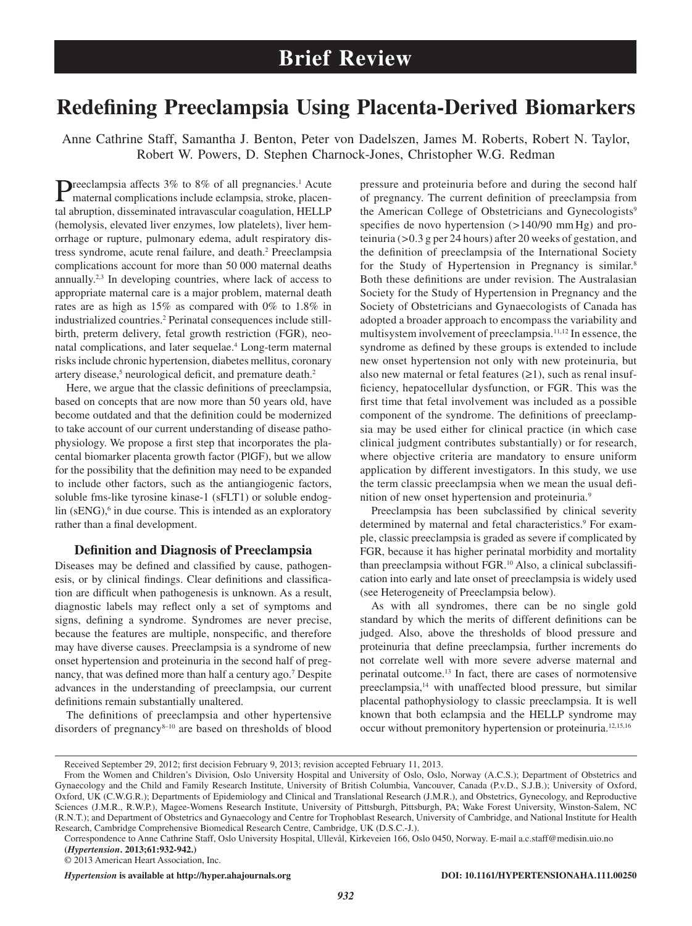# **Redefining Preeclampsia Using Placenta-Derived Biomarkers**

Anne Cathrine Staff, Samantha J. Benton, Peter von Dadelszen, James M. Roberts, Robert N. Taylor, Robert W. Powers, D. Stephen Charnock-Jones, Christopher W.G. Redman

Preeclampsia affects 3% to 8% of all pregnancies.<sup>1</sup> Acute maternal complications include eclampsia, stroke, placen-Preeclampsia affects 3% to 8% of all pregnancies.<sup>1</sup> Acute tal abruption, disseminated intravascular coagulation, HELLP (hemolysis, elevated liver enzymes, low platelets), liver hemorrhage or rupture, pulmonary edema, adult respiratory distress syndrome, acute renal failure, and death.<sup>2</sup> Preeclampsia complications account for more than 50 000 maternal deaths annually.2,3 In developing countries, where lack of access to appropriate maternal care is a major problem, maternal death rates are as high as 15% as compared with 0% to 1.8% in industrialized countries.2 Perinatal consequences include stillbirth, preterm delivery, fetal growth restriction (FGR), neonatal complications, and later sequelae.<sup>4</sup> Long-term maternal risks include chronic hypertension, diabetes mellitus, coronary artery disease,<sup>5</sup> neurological deficit, and premature death.<sup>2</sup>

Here, we argue that the classic definitions of preeclampsia, based on concepts that are now more than 50 years old, have become outdated and that the definition could be modernized to take account of our current understanding of disease pathophysiology. We propose a first step that incorporates the placental biomarker placenta growth factor (PlGF), but we allow for the possibility that the definition may need to be expanded to include other factors, such as the antiangiogenic factors, soluble fms-like tyrosine kinase-1 (sFLT1) or soluble endoglin (sENG),<sup>6</sup> in due course. This is intended as an exploratory rather than a final development.

## **Definition and Diagnosis of Preeclampsia**

Diseases may be defined and classified by cause, pathogenesis, or by clinical findings. Clear definitions and classification are difficult when pathogenesis is unknown. As a result, diagnostic labels may reflect only a set of symptoms and signs, defining a syndrome. Syndromes are never precise, because the features are multiple, nonspecific, and therefore may have diverse causes. Preeclampsia is a syndrome of new onset hypertension and proteinuria in the second half of pregnancy, that was defined more than half a century ago.7 Despite advances in the understanding of preeclampsia, our current definitions remain substantially unaltered.

The definitions of preeclampsia and other hypertensive disorders of pregnancy<sup>8-10</sup> are based on thresholds of blood pressure and proteinuria before and during the second half of pregnancy. The current definition of preeclampsia from the American College of Obstetricians and Gynecologists<sup>9</sup> specifies de novo hypertension (>140/90 mmHg) and proteinuria (*>*0.3 g per 24 hours) after 20 weeks of gestation, and the definition of preeclampsia of the International Society for the Study of Hypertension in Pregnancy is similar.<sup>8</sup> Both these definitions are under revision. The Australasian Society for the Study of Hypertension in Pregnancy and the Society of Obstetricians and Gynaecologists of Canada has adopted a broader approach to encompass the variability and multisystem involvement of preeclampsia.11,12 In essence, the syndrome as defined by these groups is extended to include new onset hypertension not only with new proteinuria, but also new maternal or fetal features  $(\geq 1)$ , such as renal insufficiency, hepatocellular dysfunction, or FGR. This was the first time that fetal involvement was included as a possible component of the syndrome. The definitions of preeclampsia may be used either for clinical practice (in which case clinical judgment contributes substantially) or for research, where objective criteria are mandatory to ensure uniform application by different investigators. In this study, we use the term classic preeclampsia when we mean the usual definition of new onset hypertension and proteinuria.9

Preeclampsia has been subclassified by clinical severity determined by maternal and fetal characteristics.<sup>9</sup> For example, classic preeclampsia is graded as severe if complicated by FGR, because it has higher perinatal morbidity and mortality than preeclampsia without FGR.10 Also, a clinical subclassification into early and late onset of preeclampsia is widely used (see Heterogeneity of Preeclampsia below).

As with all syndromes, there can be no single gold standard by which the merits of different definitions can be judged. Also, above the thresholds of blood pressure and proteinuria that define preeclampsia, further increments do not correlate well with more severe adverse maternal and perinatal outcome.13 In fact, there are cases of normotensive preeclampsia,14 with unaffected blood pressure, but similar placental pathophysiology to classic preeclampsia. It is well known that both eclampsia and the HELLP syndrome may occur without premonitory hypertension or proteinuria.12,15,16

*Hypertension* **is available at http://hyper.ahajournals.org DOI: 10.1161/HYPERTENSIONAHA.111.00250**

Received September 29, 2012; first decision February 9, 2013; revision accepted February 11, 2013.

From the Women and Children's Division, Oslo University Hospital and University of Oslo, Oslo, Norway (A.C.S.); Department of Obstetrics and Gynaecology and the Child and Family Research Institute, University of British Columbia, Vancouver, Canada (P.v.D., S.J.B.); University of Oxford, Oxford, UK (C.W.G.R.); Departments of Epidemiology and Clinical and Translational Research (J.M.R.), and Obstetrics, Gynecology, and Reproductive Sciences (J.M.R., R.W.P.), Magee-Womens Research Institute, University of Pittsburgh, Pittsburgh, PA; Wake Forest University, Winston-Salem, NC (R.N.T.); and Department of Obstetrics and Gynaecology and Centre for Trophoblast Research, University of Cambridge, and National Institute for Health Research, Cambridge Comprehensive Biomedical Research Centre, Cambridge, UK (D.S.C.-J.).

Correspondence to Anne Cathrine Staff, Oslo University Hospital, Ullevål, Kirkeveien 166, Oslo 0450, Norway. E-mail [a.c.staff@medisin.uio.no](mailto:a.c.staff@medisin.uio.no) **(***Hypertension***. 2013;61:932-942.)**

<sup>© 2013</sup> American Heart Association, Inc.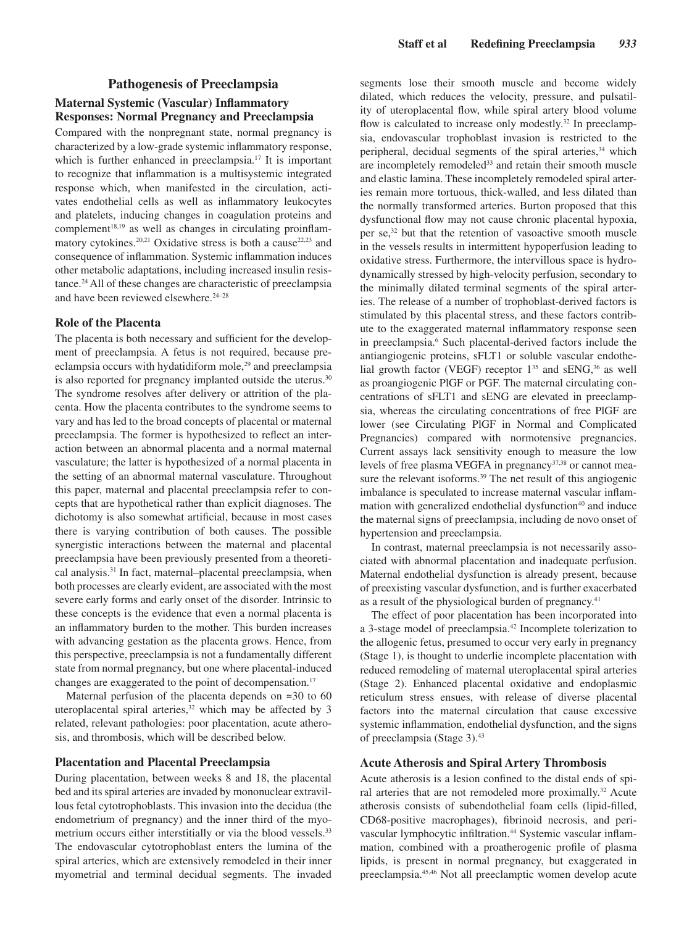#### **Pathogenesis of Preeclampsia**

# **Maternal Systemic (Vascular) Inflammatory Responses: Normal Pregnancy and Preeclampsia**

Compared with the nonpregnant state, normal pregnancy is characterized by a low-grade systemic inflammatory response, which is further enhanced in preeclampsia.<sup>17</sup> It is important to recognize that inflammation is a multisystemic integrated response which, when manifested in the circulation, activates endothelial cells as well as inflammatory leukocytes and platelets, inducing changes in coagulation proteins and  $complement<sup>18,19</sup>$  as well as changes in circulating proinflammatory cytokines.<sup>20,21</sup> Oxidative stress is both a cause<sup>22,23</sup> and consequence of inflammation. Systemic inflammation induces other metabolic adaptations, including increased insulin resistance.24 All of these changes are characteristic of preeclampsia and have been reviewed elsewhere.<sup>24-28</sup>

# **Role of the Placenta**

The placenta is both necessary and sufficient for the development of preeclampsia. A fetus is not required, because preeclampsia occurs with hydatidiform mole,<sup>29</sup> and preeclampsia is also reported for pregnancy implanted outside the uterus.<sup>30</sup> The syndrome resolves after delivery or attrition of the placenta. How the placenta contributes to the syndrome seems to vary and has led to the broad concepts of placental or maternal preeclampsia. The former is hypothesized to reflect an interaction between an abnormal placenta and a normal maternal vasculature; the latter is hypothesized of a normal placenta in the setting of an abnormal maternal vasculature. Throughout this paper, maternal and placental preeclampsia refer to concepts that are hypothetical rather than explicit diagnoses. The dichotomy is also somewhat artificial, because in most cases there is varying contribution of both causes. The possible synergistic interactions between the maternal and placental preeclampsia have been previously presented from a theoretical analysis.<sup>31</sup> In fact, maternal–placental preeclampsia, when both processes are clearly evident, are associated with the most severe early forms and early onset of the disorder. Intrinsic to these concepts is the evidence that even a normal placenta is an inflammatory burden to the mother. This burden increases with advancing gestation as the placenta grows. Hence, from this perspective, preeclampsia is not a fundamentally different state from normal pregnancy, but one where placental-induced changes are exaggerated to the point of decompensation.<sup>17</sup>

Maternal perfusion of the placenta depends on  $\approx 30$  to 60 uteroplacental spiral arteries, $32$  which may be affected by 3 related, relevant pathologies: poor placentation, acute atherosis, and thrombosis, which will be described below.

## **Placentation and Placental Preeclampsia**

During placentation, between weeks 8 and 18, the placental bed and its spiral arteries are invaded by mononuclear extravillous fetal cytotrophoblasts. This invasion into the decidua (the endometrium of pregnancy) and the inner third of the myometrium occurs either interstitially or via the blood vessels.<sup>33</sup> The endovascular cytotrophoblast enters the lumina of the spiral arteries, which are extensively remodeled in their inner myometrial and terminal decidual segments. The invaded

segments lose their smooth muscle and become widely dilated, which reduces the velocity, pressure, and pulsatility of uteroplacental flow, while spiral artery blood volume flow is calculated to increase only modestly.<sup>32</sup> In preeclampsia, endovascular trophoblast invasion is restricted to the peripheral, decidual segments of the spiral arteries,<sup>34</sup> which are incompletely remodeled<sup>33</sup> and retain their smooth muscle and elastic lamina. These incompletely remodeled spiral arteries remain more tortuous, thick-walled, and less dilated than the normally transformed arteries. Burton proposed that this dysfunctional flow may not cause chronic placental hypoxia, per se,32 but that the retention of vasoactive smooth muscle in the vessels results in intermittent hypoperfusion leading to oxidative stress. Furthermore, the intervillous space is hydrodynamically stressed by high-velocity perfusion, secondary to the minimally dilated terminal segments of the spiral arteries. The release of a number of trophoblast-derived factors is stimulated by this placental stress, and these factors contribute to the exaggerated maternal inflammatory response seen in preeclampsia.<sup>6</sup> Such placental-derived factors include the antiangiogenic proteins, sFLT1 or soluble vascular endothelial growth factor (VEGF) receptor  $1^{35}$  and sENG,  $3^6$  as well as proangiogenic PlGF or PGF. The maternal circulating concentrations of sFLT1 and sENG are elevated in preeclampsia, whereas the circulating concentrations of free PlGF are lower (see Circulating PlGF in Normal and Complicated Pregnancies) compared with normotensive pregnancies. Current assays lack sensitivity enough to measure the low levels of free plasma VEGFA in pregnancy<sup>37,38</sup> or cannot measure the relevant isoforms.<sup>39</sup> The net result of this angiogenic imbalance is speculated to increase maternal vascular inflammation with generalized endothelial dysfunction<sup>40</sup> and induce the maternal signs of preeclampsia, including de novo onset of hypertension and preeclampsia.

In contrast, maternal preeclampsia is not necessarily associated with abnormal placentation and inadequate perfusion. Maternal endothelial dysfunction is already present, because of preexisting vascular dysfunction, and is further exacerbated as a result of the physiological burden of pregnancy.<sup>41</sup>

The effect of poor placentation has been incorporated into a 3-stage model of preeclampsia.42 Incomplete tolerization to the allogenic fetus, presumed to occur very early in pregnancy (Stage 1), is thought to underlie incomplete placentation with reduced remodeling of maternal uteroplacental spiral arteries (Stage 2). Enhanced placental oxidative and endoplasmic reticulum stress ensues, with release of diverse placental factors into the maternal circulation that cause excessive systemic inflammation, endothelial dysfunction, and the signs of preeclampsia (Stage 3).43

#### **Acute Atherosis and Spiral Artery Thrombosis**

Acute atherosis is a lesion confined to the distal ends of spiral arteries that are not remodeled more proximally.32 Acute atherosis consists of subendothelial foam cells (lipid-filled, CD68-positive macrophages), fibrinoid necrosis, and perivascular lymphocytic infiltration.<sup>44</sup> Systemic vascular inflammation, combined with a proatherogenic profile of plasma lipids, is present in normal pregnancy, but exaggerated in preeclampsia.45,46 Not all preeclamptic women develop acute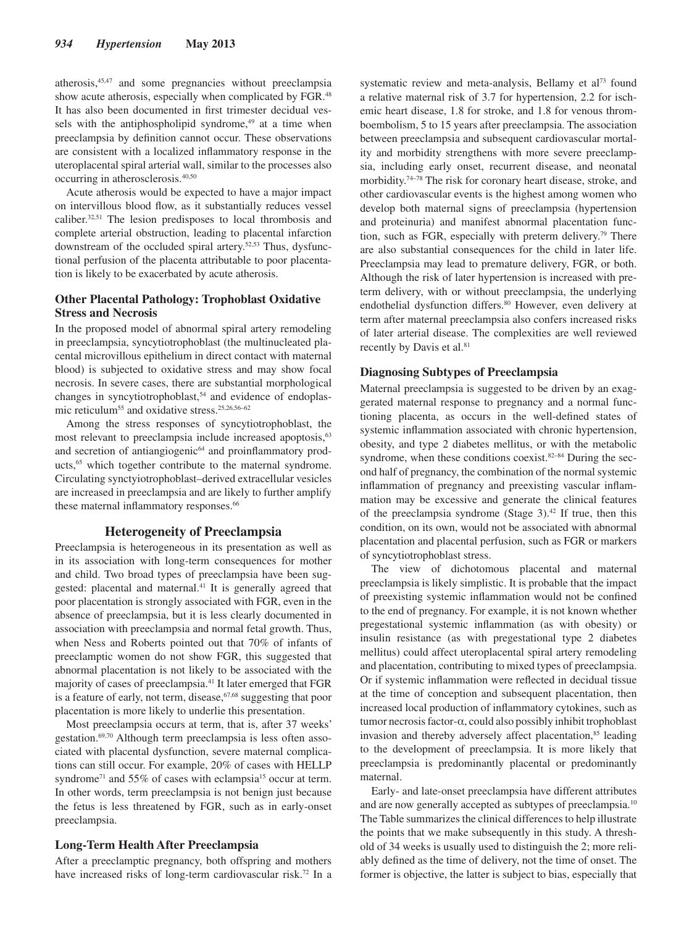atherosis,45,47 and some pregnancies without preeclampsia show acute atherosis, especially when complicated by FGR.<sup>48</sup> It has also been documented in first trimester decidual vessels with the antiphospholipid syndrome,<sup>49</sup> at a time when preeclampsia by definition cannot occur. These observations are consistent with a localized inflammatory response in the uteroplacental spiral arterial wall, similar to the processes also occurring in atherosclerosis.40,50

Acute atherosis would be expected to have a major impact on intervillous blood flow, as it substantially reduces vessel caliber.32,51 The lesion predisposes to local thrombosis and complete arterial obstruction, leading to placental infarction downstream of the occluded spiral artery.<sup>52,53</sup> Thus, dysfunctional perfusion of the placenta attributable to poor placentation is likely to be exacerbated by acute atherosis.

# **Other Placental Pathology: Trophoblast Oxidative Stress and Necrosis**

In the proposed model of abnormal spiral artery remodeling in preeclampsia, syncytiotrophoblast (the multinucleated placental microvillous epithelium in direct contact with maternal blood) is subjected to oxidative stress and may show focal necrosis. In severe cases, there are substantial morphological changes in syncytiotrophoblast,<sup>54</sup> and evidence of endoplasmic reticulum<sup>55</sup> and oxidative stress.<sup>25,26,56–62</sup>

Among the stress responses of syncytiotrophoblast, the most relevant to preeclampsia include increased apoptosis,<sup>63</sup> and secretion of antiangiogenic<sup>64</sup> and proinflammatory products,<sup>65</sup> which together contribute to the maternal syndrome. Circulating synctyiotrophoblast–derived extracellular vesicles are increased in preeclampsia and are likely to further amplify these maternal inflammatory responses.<sup>66</sup>

# **Heterogeneity of Preeclampsia**

Preeclampsia is heterogeneous in its presentation as well as in its association with long-term consequences for mother and child. Two broad types of preeclampsia have been suggested: placental and maternal.<sup>41</sup> It is generally agreed that poor placentation is strongly associated with FGR, even in the absence of preeclampsia, but it is less clearly documented in association with preeclampsia and normal fetal growth. Thus, when Ness and Roberts pointed out that 70% of infants of preeclamptic women do not show FGR, this suggested that abnormal placentation is not likely to be associated with the majority of cases of preeclampsia.41 It later emerged that FGR is a feature of early, not term, disease, <sup>67,68</sup> suggesting that poor placentation is more likely to underlie this presentation.

Most preeclampsia occurs at term, that is, after 37 weeks' gestation.<sup>69,70</sup> Although term preeclampsia is less often associated with placental dysfunction, severe maternal complications can still occur. For example, 20% of cases with HELLP syndrome<sup>71</sup> and 55% of cases with eclampsia<sup>15</sup> occur at term. In other words, term preeclampsia is not benign just because the fetus is less threatened by FGR, such as in early-onset preeclampsia.

## **Long-Term Health After Preeclampsia**

After a preeclamptic pregnancy, both offspring and mothers have increased risks of long-term cardiovascular risk.<sup>72</sup> In a systematic review and meta-analysis, Bellamy et al<sup>73</sup> found a relative maternal risk of 3.7 for hypertension, 2.2 for ischemic heart disease, 1.8 for stroke, and 1.8 for venous thromboembolism, 5 to 15 years after preeclampsia. The association between preeclampsia and subsequent cardiovascular mortality and morbidity strengthens with more severe preeclampsia, including early onset, recurrent disease, and neonatal morbidity.74–78 The risk for coronary heart disease, stroke, and other cardiovascular events is the highest among women who develop both maternal signs of preeclampsia (hypertension and proteinuria) and manifest abnormal placentation function, such as FGR, especially with preterm delivery.<sup>79</sup> There are also substantial consequences for the child in later life. Preeclampsia may lead to premature delivery, FGR, or both. Although the risk of later hypertension is increased with preterm delivery, with or without preeclampsia, the underlying endothelial dysfunction differs.<sup>80</sup> However, even delivery at term after maternal preeclampsia also confers increased risks of later arterial disease. The complexities are well reviewed recently by Davis et al.<sup>81</sup>

## **Diagnosing Subtypes of Preeclampsia**

Maternal preeclampsia is suggested to be driven by an exaggerated maternal response to pregnancy and a normal functioning placenta, as occurs in the well-defined states of systemic inflammation associated with chronic hypertension, obesity, and type 2 diabetes mellitus, or with the metabolic syndrome, when these conditions coexist.<sup>82-84</sup> During the second half of pregnancy, the combination of the normal systemic inflammation of pregnancy and preexisting vascular inflammation may be excessive and generate the clinical features of the preeclampsia syndrome (Stage  $3$ ).<sup>42</sup> If true, then this condition, on its own, would not be associated with abnormal placentation and placental perfusion, such as FGR or markers of syncytiotrophoblast stress.

The view of dichotomous placental and maternal preeclampsia is likely simplistic. It is probable that the impact of preexisting systemic inflammation would not be confined to the end of pregnancy. For example, it is not known whether pregestational systemic inflammation (as with obesity) or insulin resistance (as with pregestational type 2 diabetes mellitus) could affect uteroplacental spiral artery remodeling and placentation, contributing to mixed types of preeclampsia. Or if systemic inflammation were reflected in decidual tissue at the time of conception and subsequent placentation, then increased local production of inflammatory cytokines, such as tumor necrosis factor-α, could also possibly inhibit trophoblast invasion and thereby adversely affect placentation,<sup>85</sup> leading to the development of preeclampsia. It is more likely that preeclampsia is predominantly placental or predominantly maternal.

Early- and late-onset preeclampsia have different attributes and are now generally accepted as subtypes of preeclampsia.10 The Table summarizes the clinical differences to help illustrate the points that we make subsequently in this study. A threshold of 34 weeks is usually used to distinguish the 2; more reliably defined as the time of delivery, not the time of onset. The former is objective, the latter is subject to bias, especially that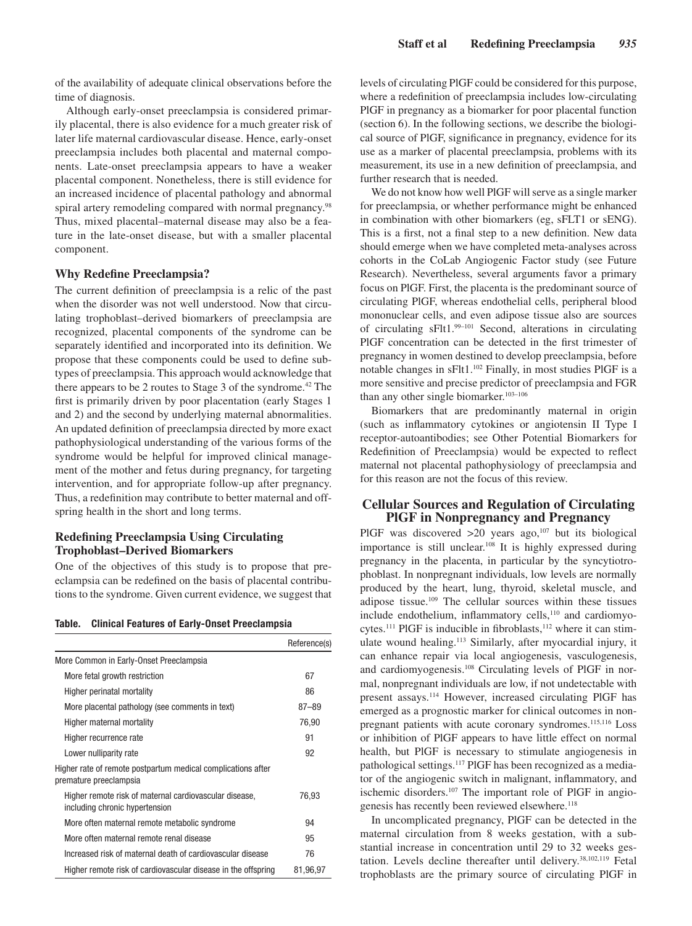of the availability of adequate clinical observations before the time of diagnosis.

Although early-onset preeclampsia is considered primarily placental, there is also evidence for a much greater risk of later life maternal cardiovascular disease. Hence, early-onset preeclampsia includes both placental and maternal components. Late-onset preeclampsia appears to have a weaker placental component. Nonetheless, there is still evidence for an increased incidence of placental pathology and abnormal spiral artery remodeling compared with normal pregnancy.<sup>98</sup> Thus, mixed placental–maternal disease may also be a feature in the late-onset disease, but with a smaller placental component.

## **Why Redefine Preeclampsia?**

The current definition of preeclampsia is a relic of the past when the disorder was not well understood. Now that circulating trophoblast–derived biomarkers of preeclampsia are recognized, placental components of the syndrome can be separately identified and incorporated into its definition. We propose that these components could be used to define subtypes of preeclampsia. This approach would acknowledge that there appears to be 2 routes to Stage 3 of the syndrome.42 The first is primarily driven by poor placentation (early Stages 1 and 2) and the second by underlying maternal abnormalities. An updated definition of preeclampsia directed by more exact pathophysiological understanding of the various forms of the syndrome would be helpful for improved clinical management of the mother and fetus during pregnancy, for targeting intervention, and for appropriate follow-up after pregnancy. Thus, a redefinition may contribute to better maternal and offspring health in the short and long terms.

# **Redefining Preeclampsia Using Circulating Trophoblast–Derived Biomarkers**

One of the objectives of this study is to propose that preeclampsia can be redefined on the basis of placental contributions to the syndrome. Given current evidence, we suggest that

|                                                                                          | Reference(s) |
|------------------------------------------------------------------------------------------|--------------|
| More Common in Early-Onset Preeclampsia                                                  |              |
| More fetal growth restriction                                                            | 67           |
| Higher perinatal mortality                                                               | 86           |
| More placental pathology (see comments in text)                                          | 87–89        |
| Higher maternal mortality                                                                | 76,90        |
| Higher recurrence rate                                                                   | 91           |
| Lower nulliparity rate                                                                   | 92           |
| Higher rate of remote postpartum medical complications after<br>premature preeclampsia   |              |
| Higher remote risk of maternal cardiovascular disease,<br>including chronic hypertension | 76,93        |
| More often maternal remote metabolic syndrome                                            | 94           |
| More often maternal remote renal disease                                                 | 95           |
| Increased risk of maternal death of cardiovascular disease                               | 76           |
| Higher remote risk of cardiovascular disease in the offspring                            | 81,96,97     |

levels of circulating PlGF could be considered for this purpose, where a redefinition of preeclampsia includes low-circulating PlGF in pregnancy as a biomarker for poor placental function (section 6). In the following sections, we describe the biological source of PlGF, significance in pregnancy, evidence for its use as a marker of placental preeclampsia, problems with its measurement, its use in a new definition of preeclampsia, and further research that is needed.

We do not know how well PlGF will serve as a single marker for preeclampsia, or whether performance might be enhanced in combination with other biomarkers (eg, sFLT1 or sENG). This is a first, not a final step to a new definition. New data should emerge when we have completed meta-analyses across cohorts in the CoLab Angiogenic Factor study (see Future Research). Nevertheless, several arguments favor a primary focus on PlGF. First, the placenta is the predominant source of circulating PlGF, whereas endothelial cells, peripheral blood mononuclear cells, and even adipose tissue also are sources of circulating sFlt1.99–101 Second, alterations in circulating PlGF concentration can be detected in the first trimester of pregnancy in women destined to develop preeclampsia, before notable changes in sFlt1.102 Finally, in most studies PlGF is a more sensitive and precise predictor of preeclampsia and FGR than any other single biomarker.<sup>103-106</sup>

Biomarkers that are predominantly maternal in origin (such as inflammatory cytokines or angiotensin II Type I receptor-autoantibodies; see Other Potential Biomarkers for Redefinition of Preeclampsia) would be expected to reflect maternal not placental pathophysiology of preeclampsia and for this reason are not the focus of this review.

# **Cellular Sources and Regulation of Circulating PlGF in Nonpregnancy and Pregnancy**

PlGF was discovered  $>20$  years ago,<sup>107</sup> but its biological importance is still unclear.<sup>108</sup> It is highly expressed during pregnancy in the placenta, in particular by the syncytiotrophoblast. In nonpregnant individuals, low levels are normally produced by the heart, lung, thyroid, skeletal muscle, and adipose tissue.109 The cellular sources within these tissues include endothelium, inflammatory cells,<sup>110</sup> and cardiomyocytes.<sup>111</sup> PIGF is inducible in fibroblasts,<sup>112</sup> where it can stimulate wound healing.113 Similarly, after myocardial injury, it can enhance repair via local angiogenesis, vasculogenesis, and cardiomyogenesis.108 Circulating levels of PlGF in normal, nonpregnant individuals are low, if not undetectable with present assays.114 However, increased circulating PlGF has emerged as a prognostic marker for clinical outcomes in nonpregnant patients with acute coronary syndromes.115,116 Loss or inhibition of PlGF appears to have little effect on normal health, but PlGF is necessary to stimulate angiogenesis in pathological settings.<sup>117</sup> PIGF has been recognized as a mediator of the angiogenic switch in malignant, inflammatory, and ischemic disorders.107 The important role of PlGF in angiogenesis has recently been reviewed elsewhere.<sup>118</sup>

In uncomplicated pregnancy, PlGF can be detected in the maternal circulation from 8 weeks gestation, with a substantial increase in concentration until 29 to 32 weeks gestation. Levels decline thereafter until delivery.<sup>38,102,119</sup> Fetal trophoblasts are the primary source of circulating PlGF in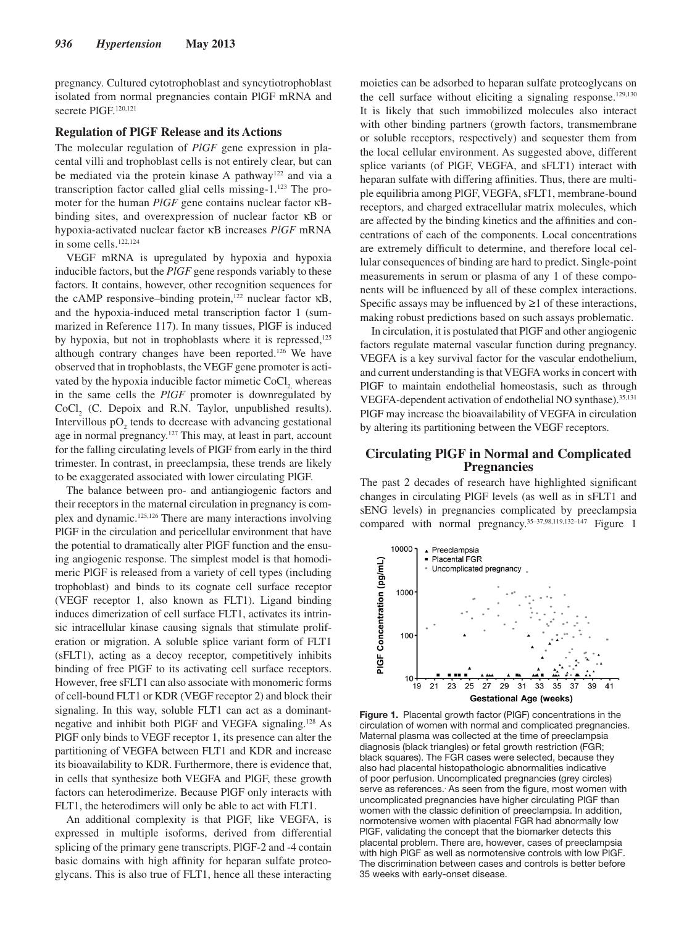pregnancy. Cultured cytotrophoblast and syncytiotrophoblast isolated from normal pregnancies contain PlGF mRNA and secrete PlGF.<sup>120,121</sup>

#### **Regulation of PlGF Release and its Actions**

The molecular regulation of *PlGF* gene expression in placental villi and trophoblast cells is not entirely clear, but can be mediated via the protein kinase A pathway<sup>122</sup> and via a transcription factor called glial cells missing- $1$ .<sup>123</sup> The promoter for the human *PlGF* gene contains nuclear factor κBbinding sites, and overexpression of nuclear factor κB or hypoxia-activated nuclear factor κB increases *PlGF* mRNA in some cells.122,124

VEGF mRNA is upregulated by hypoxia and hypoxia inducible factors, but the *PlGF* gene responds variably to these factors. It contains, however, other recognition sequences for the cAMP responsive–binding protein,<sup>122</sup> nuclear factor κB, and the hypoxia-induced metal transcription factor 1 (summarized in Reference 117). In many tissues, PlGF is induced by hypoxia, but not in trophoblasts where it is repressed, $125$ although contrary changes have been reported.<sup>126</sup> We have observed that in trophoblasts, the VEGF gene promoter is activated by the hypoxia inducible factor mimetic CoCl<sub>2</sub> whereas in the same cells the *PlGF* promoter is downregulated by  $CoCl<sub>2</sub>$  (C. Depoix and R.N. Taylor, unpublished results). Intervillous  $pO_2$  tends to decrease with advancing gestational age in normal pregnancy.<sup>127</sup> This may, at least in part, account for the falling circulating levels of PlGF from early in the third trimester. In contrast, in preeclampsia, these trends are likely to be exaggerated associated with lower circulating PlGF.

The balance between pro- and antiangiogenic factors and their receptors in the maternal circulation in pregnancy is complex and dynamic.125,126 There are many interactions involving PlGF in the circulation and pericellular environment that have the potential to dramatically alter PlGF function and the ensuing angiogenic response. The simplest model is that homodimeric PlGF is released from a variety of cell types (including trophoblast) and binds to its cognate cell surface receptor (VEGF receptor 1, also known as FLT1). Ligand binding induces dimerization of cell surface FLT1, activates its intrinsic intracellular kinase causing signals that stimulate proliferation or migration. A soluble splice variant form of FLT1 (sFLT1), acting as a decoy receptor, competitively inhibits binding of free PlGF to its activating cell surface receptors. However, free sFLT1 can also associate with monomeric forms of cell-bound FLT1 or KDR (VEGF receptor 2) and block their signaling. In this way, soluble FLT1 can act as a dominantnegative and inhibit both PlGF and VEGFA signaling.128 As PlGF only binds to VEGF receptor 1, its presence can alter the partitioning of VEGFA between FLT1 and KDR and increase its bioavailability to KDR. Furthermore, there is evidence that, in cells that synthesize both VEGFA and PlGF, these growth factors can heterodimerize. Because PlGF only interacts with FLT1, the heterodimers will only be able to act with FLT1.

An additional complexity is that PlGF, like VEGFA, is expressed in multiple isoforms, derived from differential splicing of the primary gene transcripts. PlGF-2 and -4 contain basic domains with high affinity for heparan sulfate proteoglycans. This is also true of FLT1, hence all these interacting moieties can be adsorbed to heparan sulfate proteoglycans on the cell surface without eliciting a signaling response.<sup>129,130</sup> It is likely that such immobilized molecules also interact with other binding partners (growth factors, transmembrane or soluble receptors, respectively) and sequester them from the local cellular environment. As suggested above, different splice variants (of PlGF, VEGFA, and sFLT1) interact with heparan sulfate with differing affinities. Thus, there are multiple equilibria among PlGF, VEGFA, sFLT1, membrane-bound receptors, and charged extracellular matrix molecules, which are affected by the binding kinetics and the affinities and concentrations of each of the components. Local concentrations are extremely difficult to determine, and therefore local cellular consequences of binding are hard to predict. Single-point measurements in serum or plasma of any 1 of these components will be influenced by all of these complex interactions. Specific assays may be influenced by  $\geq 1$  of these interactions, making robust predictions based on such assays problematic.

In circulation, it is postulated that PlGF and other angiogenic factors regulate maternal vascular function during pregnancy. VEGFA is a key survival factor for the vascular endothelium, and current understanding is that VEGFA works in concert with PlGF to maintain endothelial homeostasis, such as through VEGFA-dependent activation of endothelial NO synthase).35,131 PlGF may increase the bioavailability of VEGFA in circulation by altering its partitioning between the VEGF receptors.

# **Circulating PlGF in Normal and Complicated Pregnancies**

The past 2 decades of research have highlighted significant changes in circulating PlGF levels (as well as in sFLT1 and sENG levels) in pregnancies complicated by preeclampsia compared with normal pregnancy.35–37,98,119,132–147 Figure 1



**Figure 1.** Placental growth factor (PlGF) concentrations in the circulation of women with normal and complicated pregnancies. Maternal plasma was collected at the time of preeclampsia diagnosis (black triangles) or fetal growth restriction (FGR; black squares). The FGR cases were selected, because they also had placental histopathologic abnormalities indicative of poor perfusion. Uncomplicated pregnancies (grey circles) serve as references. As seen from the figure, most women with uncomplicated pregnancies have higher circulating PlGF than women with the classic definition of preeclampsia. In addition, normotensive women with placental FGR had abnormally low PlGF, validating the concept that the biomarker detects this placental problem. There are, however, cases of preeclampsia with high PlGF as well as normotensive controls with low PlGF. The discrimination between cases and controls is better before 35 weeks with early-onset disease.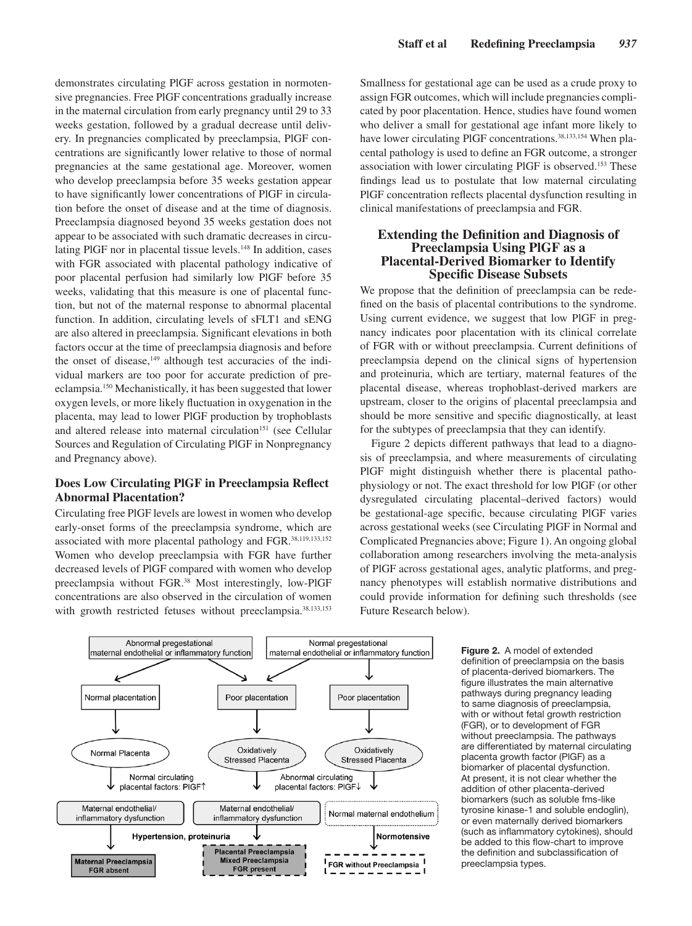demonstrates circulating PlGF across gestation in normotensive pregnancies. Free PlGF concentrations gradually increase in the maternal circulation from early pregnancy until 29 to 33 weeks gestation, followed by a gradual decrease until delivery. In pregnancies complicated by preeclampsia, PlGF concentrations are significantly lower relative to those of normal pregnancies at the same gestational age. Moreover, women who develop preeclampsia before 35 weeks gestation appear to have significantly lower concentrations of PlGF in circulation before the onset of disease and at the time of diagnosis. Preeclampsia diagnosed beyond 35 weeks gestation does not appear to be associated with such dramatic decreases in circulating PlGF nor in placental tissue levels.<sup>148</sup> In addition, cases with FGR associated with placental pathology indicative of poor placental perfusion had similarly low PlGF before 35 weeks, validating that this measure is one of placental function, but not of the maternal response to abnormal placental function. In addition, circulating levels of sFLT1 and sENG are also altered in preeclampsia. Significant elevations in both factors occur at the time of preeclampsia diagnosis and before the onset of disease,<sup>149</sup> although test accuracies of the individual markers are too poor for accurate prediction of preeclampsia.150 Mechanistically, it has been suggested that lower oxygen levels, or more likely fluctuation in oxygenation in the placenta, may lead to lower PlGF production by trophoblasts and altered release into maternal circulation<sup>151</sup> (see Cellular Sources and Regulation of Circulating PlGF in Nonpregnancy and Pregnancy above).

# **Does Low Circulating PlGF in Preeclampsia Reflect Abnormal Placentation?**

Circulating free PlGF levels are lowest in women who develop early-onset forms of the preeclampsia syndrome, which are associated with more placental pathology and FGR.38,119,133,152 Women who develop preeclampsia with FGR have further decreased levels of PlGF compared with women who develop preeclampsia without FGR.38 Most interestingly, low-PlGF concentrations are also observed in the circulation of women with growth restricted fetuses without preeclampsia.<sup>38,133,153</sup>

Smallness for gestational age can be used as a crude proxy to assign FGR outcomes, which will include pregnancies complicated by poor placentation. Hence, studies have found women who deliver a small for gestational age infant more likely to have lower circulating PIGF concentrations.<sup>38,133,154</sup> When placental pathology is used to define an FGR outcome, a stronger association with lower circulating PlGF is observed.153 These findings lead us to postulate that low maternal circulating PlGF concentration reflects placental dysfunction resulting in clinical manifestations of preeclampsia and FGR.

# **Extending the Definition and Diagnosis of Preeclampsia Using PlGF as a Placental-Derived Biomarker to Identify Specific Disease Subsets**

We propose that the definition of preeclampsia can be redefined on the basis of placental contributions to the syndrome. Using current evidence, we suggest that low PlGF in pregnancy indicates poor placentation with its clinical correlate of FGR with or without preeclampsia. Current definitions of preeclampsia depend on the clinical signs of hypertension and proteinuria, which are tertiary, maternal features of the placental disease, whereas trophoblast-derived markers are upstream, closer to the origins of placental preeclampsia and should be more sensitive and specific diagnostically, at least for the subtypes of preeclampsia that they can identify.

Figure 2 depicts different pathways that lead to a diagnosis of preeclampsia, and where measurements of circulating PlGF might distinguish whether there is placental pathophysiology or not. The exact threshold for low PlGF (or other dysregulated circulating placental–derived factors) would be gestational-age specific, because circulating PlGF varies across gestational weeks (see Circulating PlGF in Normal and Complicated Pregnancies above; Figure 1). An ongoing global collaboration among researchers involving the meta-analysis of PlGF across gestational ages, analytic platforms, and pregnancy phenotypes will establish normative distributions and could provide information for defining such thresholds (see Future Research below).



**Figure 2.** A model of extended definition of preeclampsia on the basis of placenta-derived biomarkers. The figure illustrates the main alternative pathways during pregnancy leading to same diagnosis of preeclampsia, with or without fetal growth restriction (FGR), or to development of FGR without preeclampsia. The pathways are differentiated by maternal circulating placenta growth factor (PlGF) as a biomarker of placental dysfunction. At present, it is not clear whether the addition of other placenta-derived biomarkers (such as soluble fms-like tyrosine kinase-1 and soluble endoglin), or even maternally derived biomarkers (such as inflammatory cytokines), should be added to this flow-chart to improve the definition and subclassification of preeclampsia types.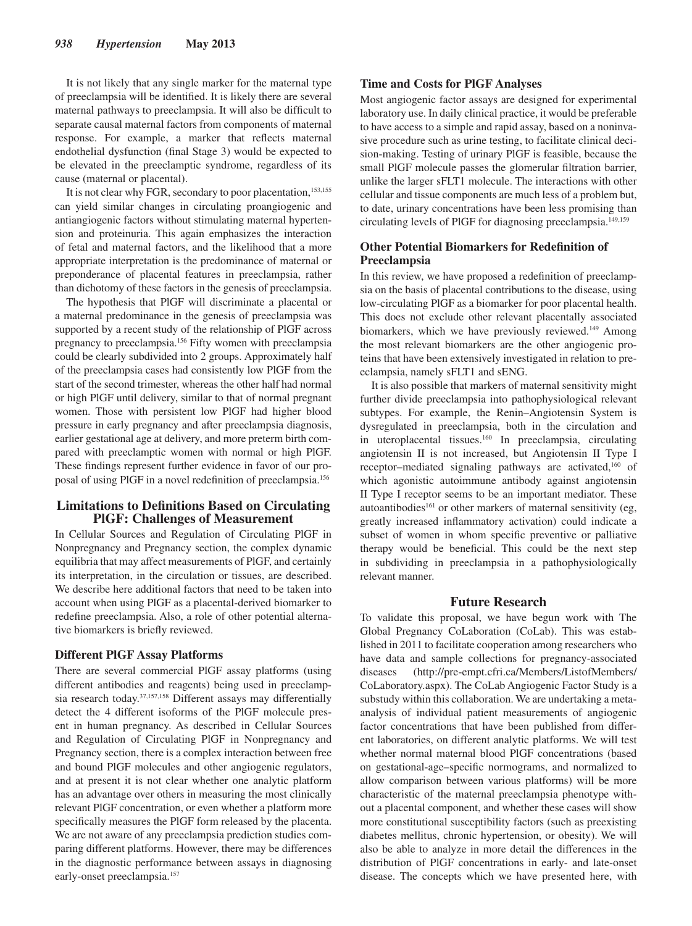It is not likely that any single marker for the maternal type of preeclampsia will be identified. It is likely there are several maternal pathways to preeclampsia. It will also be difficult to separate causal maternal factors from components of maternal response. For example, a marker that reflects maternal endothelial dysfunction (final Stage 3) would be expected to be elevated in the preeclamptic syndrome, regardless of its cause (maternal or placental).

It is not clear why FGR, secondary to poor placentation,<sup>153,155</sup> can yield similar changes in circulating proangiogenic and antiangiogenic factors without stimulating maternal hypertension and proteinuria. This again emphasizes the interaction of fetal and maternal factors, and the likelihood that a more appropriate interpretation is the predominance of maternal or preponderance of placental features in preeclampsia, rather than dichotomy of these factors in the genesis of preeclampsia.

The hypothesis that PlGF will discriminate a placental or a maternal predominance in the genesis of preeclampsia was supported by a recent study of the relationship of PlGF across pregnancy to preeclampsia.<sup>156</sup> Fifty women with preeclampsia could be clearly subdivided into 2 groups. Approximately half of the preeclampsia cases had consistently low PlGF from the start of the second trimester, whereas the other half had normal or high PlGF until delivery, similar to that of normal pregnant women. Those with persistent low PlGF had higher blood pressure in early pregnancy and after preeclampsia diagnosis, earlier gestational age at delivery, and more preterm birth compared with preeclamptic women with normal or high PlGF. These findings represent further evidence in favor of our proposal of using PlGF in a novel redefinition of preeclampsia.156

# **Limitations to Definitions Based on Circulating PlGF: Challenges of Measurement**

In Cellular Sources and Regulation of Circulating PlGF in Nonpregnancy and Pregnancy section, the complex dynamic equilibria that may affect measurements of PlGF, and certainly its interpretation, in the circulation or tissues, are described. We describe here additional factors that need to be taken into account when using PlGF as a placental-derived biomarker to redefine preeclampsia. Also, a role of other potential alternative biomarkers is briefly reviewed.

## **Different PlGF Assay Platforms**

There are several commercial PlGF assay platforms (using different antibodies and reagents) being used in preeclampsia research today.37,157,158 Different assays may differentially detect the 4 different isoforms of the PlGF molecule present in human pregnancy. As described in Cellular Sources and Regulation of Circulating PlGF in Nonpregnancy and Pregnancy section, there is a complex interaction between free and bound PlGF molecules and other angiogenic regulators, and at present it is not clear whether one analytic platform has an advantage over others in measuring the most clinically relevant PlGF concentration, or even whether a platform more specifically measures the PlGF form released by the placenta. We are not aware of any preeclampsia prediction studies comparing different platforms. However, there may be differences in the diagnostic performance between assays in diagnosing early-onset preeclampsia.<sup>157</sup>

## **Time and Costs for PlGF Analyses**

Most angiogenic factor assays are designed for experimental laboratory use. In daily clinical practice, it would be preferable to have access to a simple and rapid assay, based on a noninvasive procedure such as urine testing, to facilitate clinical decision-making. Testing of urinary PlGF is feasible, because the small PlGF molecule passes the glomerular filtration barrier, unlike the larger sFLT1 molecule. The interactions with other cellular and tissue components are much less of a problem but, to date, urinary concentrations have been less promising than circulating levels of PlGF for diagnosing preeclampsia.149,159

# **Other Potential Biomarkers for Redefinition of Preeclampsia**

In this review, we have proposed a redefinition of preeclampsia on the basis of placental contributions to the disease, using low-circulating PlGF as a biomarker for poor placental health. This does not exclude other relevant placentally associated biomarkers, which we have previously reviewed.<sup>149</sup> Among the most relevant biomarkers are the other angiogenic proteins that have been extensively investigated in relation to preeclampsia, namely sFLT1 and sENG.

It is also possible that markers of maternal sensitivity might further divide preeclampsia into pathophysiological relevant subtypes. For example, the Renin–Angiotensin System is dysregulated in preeclampsia, both in the circulation and in uteroplacental tissues.160 In preeclampsia, circulating angiotensin II is not increased, but Angiotensin II Type I receptor–mediated signaling pathways are activated,<sup>160</sup> of which agonistic autoimmune antibody against angiotensin II Type I receptor seems to be an important mediator. These autoantibodies<sup>161</sup> or other markers of maternal sensitivity (eg, greatly increased inflammatory activation) could indicate a subset of women in whom specific preventive or palliative therapy would be beneficial. This could be the next step in subdividing in preeclampsia in a pathophysiologically relevant manner.

# **Future Research**

To validate this proposal, we have begun work with The Global Pregnancy CoLaboration (CoLab). This was established in 2011 to facilitate cooperation among researchers who have data and sample collections for pregnancy-associated diseases ([http://pre-empt.cfri.ca/Members/ListofMembers/](http://pre-empt.cfri.ca/Members/ListofMembers/CoLaboratory.aspx) [CoLaboratory.aspx\)](http://pre-empt.cfri.ca/Members/ListofMembers/CoLaboratory.aspx). The CoLab Angiogenic Factor Study is a substudy within this collaboration. We are undertaking a metaanalysis of individual patient measurements of angiogenic factor concentrations that have been published from different laboratories, on different analytic platforms. We will test whether normal maternal blood PlGF concentrations (based on gestational-age–specific normograms, and normalized to allow comparison between various platforms) will be more characteristic of the maternal preeclampsia phenotype without a placental component, and whether these cases will show more constitutional susceptibility factors (such as preexisting diabetes mellitus, chronic hypertension, or obesity). We will also be able to analyze in more detail the differences in the distribution of PlGF concentrations in early- and late-onset disease. The concepts which we have presented here, with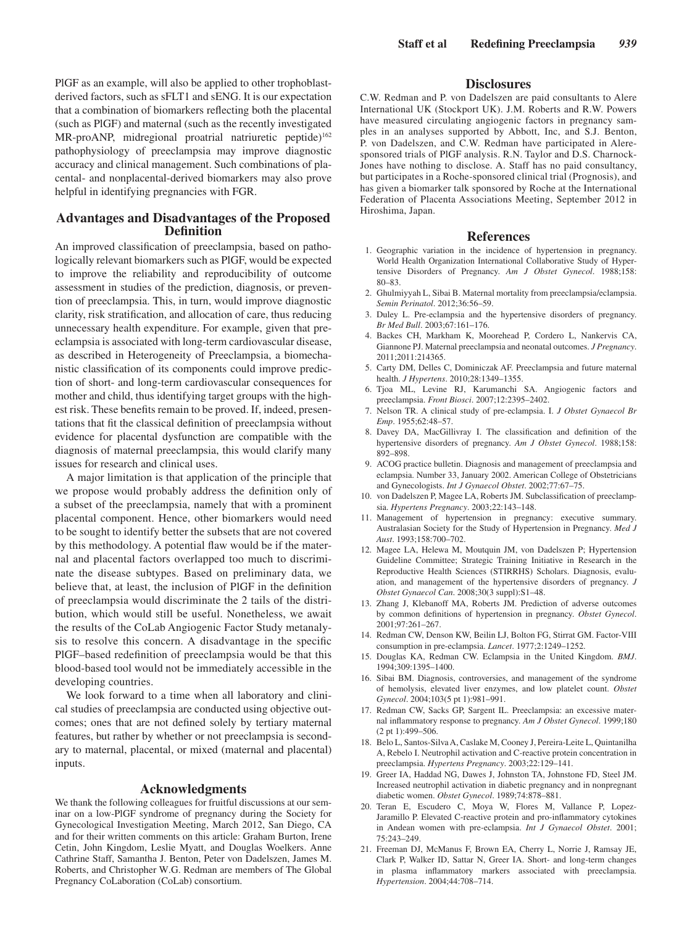PlGF as an example, will also be applied to other trophoblastderived factors, such as sFLT1 and sENG. It is our expectation that a combination of biomarkers reflecting both the placental (such as PlGF) and maternal (such as the recently investigated MR-proANP, midregional proatrial natriuretic peptide)<sup>162</sup> pathophysiology of preeclampsia may improve diagnostic accuracy and clinical management. Such combinations of placental- and nonplacental-derived biomarkers may also prove helpful in identifying pregnancies with FGR.

## **Advantages and Disadvantages of the Proposed Definition**

An improved classification of preeclampsia, based on pathologically relevant biomarkers such as PlGF, would be expected to improve the reliability and reproducibility of outcome assessment in studies of the prediction, diagnosis, or prevention of preeclampsia. This, in turn, would improve diagnostic clarity, risk stratification, and allocation of care, thus reducing unnecessary health expenditure. For example, given that preeclampsia is associated with long-term cardiovascular disease, as described in Heterogeneity of Preeclampsia, a biomechanistic classification of its components could improve prediction of short- and long-term cardiovascular consequences for mother and child, thus identifying target groups with the highest risk. These benefits remain to be proved. If, indeed, presentations that fit the classical definition of preeclampsia without evidence for placental dysfunction are compatible with the diagnosis of maternal preeclampsia, this would clarify many issues for research and clinical uses.

A major limitation is that application of the principle that we propose would probably address the definition only of a subset of the preeclampsia, namely that with a prominent placental component. Hence, other biomarkers would need to be sought to identify better the subsets that are not covered by this methodology. A potential flaw would be if the maternal and placental factors overlapped too much to discriminate the disease subtypes. Based on preliminary data, we believe that, at least, the inclusion of PlGF in the definition of preeclampsia would discriminate the 2 tails of the distribution, which would still be useful. Nonetheless, we await the results of the CoLab Angiogenic Factor Study metanalysis to resolve this concern. A disadvantage in the specific PlGF–based redefinition of preeclampsia would be that this blood-based tool would not be immediately accessible in the developing countries.

We look forward to a time when all laboratory and clinical studies of preeclampsia are conducted using objective outcomes; ones that are not defined solely by tertiary maternal features, but rather by whether or not preeclampsia is secondary to maternal, placental, or mixed (maternal and placental) inputs.

#### **Acknowledgments**

We thank the following colleagues for fruitful discussions at our seminar on a low-PlGF syndrome of pregnancy during the Society for Gynecological Investigation Meeting, March 2012, San Diego, CA and for their written comments on this article: Graham Burton, Irene Cetin, John Kingdom, Leslie Myatt, and Douglas Woelkers. Anne Cathrine Staff, Samantha J. Benton, Peter von Dadelszen, James M. Roberts, and Christopher W.G. Redman are members of The Global Pregnancy CoLaboration (CoLab) consortium.

# **Disclosures**

C.W. Redman and P. von Dadelszen are paid consultants to Alere International UK (Stockport UK). J.M. Roberts and R.W. Powers have measured circulating angiogenic factors in pregnancy samples in an analyses supported by Abbott, Inc, and S.J. Benton, P. von Dadelszen, and C.W. Redman have participated in Aleresponsored trials of PlGF analysis. R.N. Taylor and D.S. Charnock-Jones have nothing to disclose. A. Staff has no paid consultancy, but participates in a Roche-sponsored clinical trial (Prognosis), and has given a biomarker talk sponsored by Roche at the International Federation of Placenta Associations Meeting, September 2012 in Hiroshima, Japan.

#### **References**

- 1. Geographic variation in the incidence of hypertension in pregnancy. World Health Organization International Collaborative Study of Hypertensive Disorders of Pregnancy. *Am J Obstet Gynecol*. 1988;158: 80–83.
- 2. Ghulmiyyah L, Sibai B. Maternal mortality from preeclampsia/eclampsia. *Semin Perinatol*. 2012;36:56–59.
- 3. Duley L. Pre-eclampsia and the hypertensive disorders of pregnancy. *Br Med Bull*. 2003;67:161–176.
- 4. Backes CH, Markham K, Moorehead P, Cordero L, Nankervis CA, Giannone PJ. Maternal preeclampsia and neonatal outcomes. *J Pregnancy*. 2011;2011:214365.
- 5. Carty DM, Delles C, Dominiczak AF. Preeclampsia and future maternal health. *J Hypertens*. 2010;28:1349–1355.
- 6. Tjoa ML, Levine RJ, Karumanchi SA. Angiogenic factors and preeclampsia. *Front Biosci*. 2007;12:2395–2402.
- 7. Nelson TR. A clinical study of pre-eclampsia. I. *J Obstet Gynaecol Br Emp*. 1955;62:48–57.
- 8. Davey DA, MacGillivray I. The classification and definition of the hypertensive disorders of pregnancy. *Am J Obstet Gynecol*. 1988;158: 892–898.
- 9. ACOG practice bulletin. Diagnosis and management of preeclampsia and eclampsia. Number 33, January 2002. American College of Obstetricians and Gynecologists. *Int J Gynaecol Obstet*. 2002;77:67–75.
- 10. von Dadelszen P, Magee LA, Roberts JM. Subclassification of preeclampsia. *Hypertens Pregnancy*. 2003;22:143–148.
- 11. Management of hypertension in pregnancy: executive summary. Australasian Society for the Study of Hypertension in Pregnancy. *Med J Aust*. 1993;158:700–702.
- 12. Magee LA, Helewa M, Moutquin JM, von Dadelszen P; Hypertension Guideline Committee; Strategic Training Initiative in Research in the Reproductive Health Sciences (STIRRHS) Scholars. Diagnosis, evaluation, and management of the hypertensive disorders of pregnancy. *J Obstet Gynaecol Can*. 2008;30(3 suppl):S1–48.
- 13. Zhang J, Klebanoff MA, Roberts JM. Prediction of adverse outcomes by common definitions of hypertension in pregnancy. *Obstet Gynecol*. 2001;97:261–267.
- 14. Redman CW, Denson KW, Beilin LJ, Bolton FG, Stirrat GM. Factor-VIII consumption in pre-eclampsia. *Lancet*. 1977;2:1249–1252.
- 15. Douglas KA, Redman CW. Eclampsia in the United Kingdom. *BMJ*. 1994;309:1395–1400.
- 16. Sibai BM. Diagnosis, controversies, and management of the syndrome of hemolysis, elevated liver enzymes, and low platelet count. *Obstet Gynecol*. 2004;103(5 pt 1):981–991.
- 17. Redman CW, Sacks GP, Sargent IL. Preeclampsia: an excessive maternal inflammatory response to pregnancy. *Am J Obstet Gynecol*. 1999;180 (2 pt 1):499–506.
- 18. Belo L, Santos-Silva A, Caslake M, Cooney J, Pereira-Leite L, Quintanilha A, Rebelo I. Neutrophil activation and C-reactive protein concentration in preeclampsia. *Hypertens Pregnancy*. 2003;22:129–141.
- 19. Greer IA, Haddad NG, Dawes J, Johnston TA, Johnstone FD, Steel JM. Increased neutrophil activation in diabetic pregnancy and in nonpregnant diabetic women. *Obstet Gynecol*. 1989;74:878–881.
- 20. Teran E, Escudero C, Moya W, Flores M, Vallance P, Lopez-Jaramillo P. Elevated C-reactive protein and pro-inflammatory cytokines in Andean women with pre-eclampsia. *Int J Gynaecol Obstet*. 2001; 75:243–249.
- 21. Freeman DJ, McManus F, Brown EA, Cherry L, Norrie J, Ramsay JE, Clark P, Walker ID, Sattar N, Greer IA. Short- and long-term changes in plasma inflammatory markers associated with preeclampsia. *Hypertension*. 2004;44:708–714.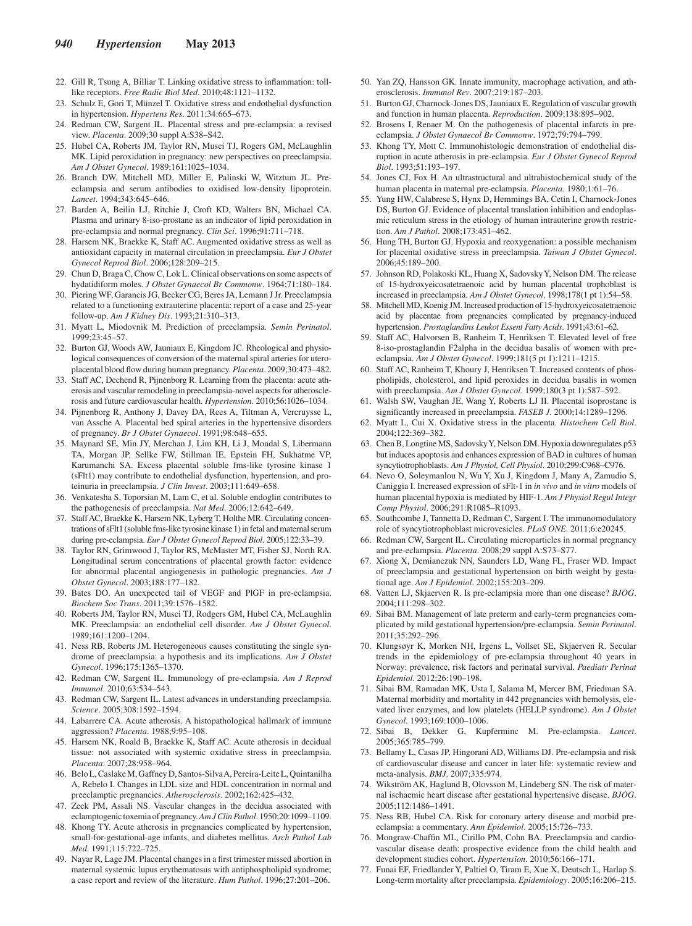- 22. Gill R, Tsung A, Billiar T. Linking oxidative stress to inflammation: tolllike receptors. *Free Radic Biol Med*. 2010;48:1121–1132.
- 23. Schulz E, Gori T, Münzel T. Oxidative stress and endothelial dysfunction in hypertension. *Hypertens Res*. 2011;34:665–673.
- 24. Redman CW, Sargent IL. Placental stress and pre-eclampsia: a revised view. *Placenta*. 2009;30 suppl A:S38–S42.
- 25. Hubel CA, Roberts JM, Taylor RN, Musci TJ, Rogers GM, McLaughlin MK. Lipid peroxidation in pregnancy: new perspectives on preeclampsia. *Am J Obstet Gynecol*. 1989;161:1025–1034.
- 26. Branch DW, Mitchell MD, Miller E, Palinski W, Witztum JL. Preeclampsia and serum antibodies to oxidised low-density lipoprotein. *Lancet*. 1994;343:645–646.
- 27. Barden A, Beilin LJ, Ritchie J, Croft KD, Walters BN, Michael CA. Plasma and urinary 8-iso-prostane as an indicator of lipid peroxidation in pre-eclampsia and normal pregnancy. *Clin Sci*. 1996;91:711–718.
- 28. Harsem NK, Braekke K, Staff AC. Augmented oxidative stress as well as antioxidant capacity in maternal circulation in preeclampsia. *Eur J Obstet Gynecol Reprod Biol*. 2006;128:209–215.
- 29. Chun D, Braga C, Chow C, Lok L. Clinical observations on some aspects of hydatidiform moles. *J Obstet Gynaecol Br Commonw*. 1964;71:180–184.
- 30. Piering WF, Garancis JG, Becker CG, Beres JA, Lemann J Jr. Preeclampsia related to a functioning extrauterine placenta: report of a case and 25-year follow-up. *Am J Kidney Dis*. 1993;21:310–313.
- 31. Myatt L, Miodovnik M. Prediction of preeclampsia. *Semin Perinatol*. 1999;23:45–57.
- 32. Burton GJ, Woods AW, Jauniaux E, Kingdom JC. Rheological and physiological consequences of conversion of the maternal spiral arteries for uteroplacental blood flow during human pregnancy. *Placenta*. 2009;30:473–482.
- 33. Staff AC, Dechend R, Pijnenborg R. Learning from the placenta: acute atherosis and vascular remodeling in preeclampsia-novel aspects for atherosclerosis and future cardiovascular health. *Hypertension*. 2010;56:1026–1034.
- 34. Pijnenborg R, Anthony J, Davey DA, Rees A, Tiltman A, Vercruysse L, van Assche A. Placental bed spiral arteries in the hypertensive disorders of pregnancy. *Br J Obstet Gynaecol*. 1991;98:648–655.
- 35. Maynard SE, Min JY, Merchan J, Lim KH, Li J, Mondal S, Libermann TA, Morgan JP, Sellke FW, Stillman IE, Epstein FH, Sukhatme VP, Karumanchi SA. Excess placental soluble fms-like tyrosine kinase 1 (sFlt1) may contribute to endothelial dysfunction, hypertension, and proteinuria in preeclampsia. *J Clin Invest*. 2003;111:649–658.
- 36. Venkatesha S, Toporsian M, Lam C, et al. Soluble endoglin contributes to the pathogenesis of preeclampsia. *Nat Med*. 2006;12:642–649.
- 37. Staff AC, Braekke K, Harsem NK, Lyberg T, Holthe MR. Circulating concentrations of sFlt1 (soluble fms-like tyrosine kinase 1) in fetal and maternal serum during pre-eclampsia. *Eur J Obstet Gynecol Reprod Biol*. 2005;122:33–39.
- 38. Taylor RN, Grimwood J, Taylor RS, McMaster MT, Fisher SJ, North RA. Longitudinal serum concentrations of placental growth factor: evidence for abnormal placental angiogenesis in pathologic pregnancies. *Am J Obstet Gynecol*. 2003;188:177–182.
- 39. Bates DO. An unexpected tail of VEGF and PlGF in pre-eclampsia. *Biochem Soc Trans*. 2011;39:1576–1582.
- 40. Roberts JM, Taylor RN, Musci TJ, Rodgers GM, Hubel CA, McLaughlin MK. Preeclampsia: an endothelial cell disorder. *Am J Obstet Gynecol*. 1989;161:1200–1204.
- 41. Ness RB, Roberts JM. Heterogeneous causes constituting the single syndrome of preeclampsia: a hypothesis and its implications. *Am J Obstet Gynecol*. 1996;175:1365–1370.
- 42. Redman CW, Sargent IL. Immunology of pre-eclampsia. *Am J Reprod Immunol*. 2010;63:534–543.
- 43. Redman CW, Sargent IL. Latest advances in understanding preeclampsia. *Science*. 2005;308:1592–1594.
- 44. Labarrere CA. Acute atherosis. A histopathological hallmark of immune aggression? *Placenta*. 1988;9:95–108.
- 45. Harsem NK, Roald B, Braekke K, Staff AC. Acute atherosis in decidual tissue: not associated with systemic oxidative stress in preeclampsia. *Placenta*. 2007;28:958–964.
- 46. Belo L, Caslake M, Gaffney D, Santos-Silva A, Pereira-Leite L, Quintanilha A, Rebelo I. Changes in LDL size and HDL concentration in normal and preeclamptic pregnancies. *Atherosclerosis*. 2002;162:425–432.
- 47. Zeek PM, Assali NS. Vascular changes in the decidua associated with eclamptogenic toxemia of pregnancy. *Am J Clin Pathol*. 1950;20:1099–1109.
- 48. Khong TY. Acute atherosis in pregnancies complicated by hypertension, small-for-gestational-age infants, and diabetes mellitus. *Arch Pathol Lab Med*. 1991;115:722–725.
- 49. Nayar R, Lage JM. Placental changes in a first trimester missed abortion in maternal systemic lupus erythematosus with antiphospholipid syndrome; a case report and review of the literature. *Hum Pathol*. 1996;27:201–206.
- 50. Yan ZQ, Hansson GK. Innate immunity, macrophage activation, and atherosclerosis. *Immunol Rev*. 2007;219:187–203.
- 51. Burton GJ, Charnock-Jones DS, Jauniaux E. Regulation of vascular growth and function in human placenta. *Reproduction*. 2009;138:895–902.
- 52. Brosens I, Renaer M. On the pathogenesis of placental infarcts in preeclampsia. *J Obstet Gynaecol Br Commonw*. 1972;79:794–799.
- 53. Khong TY, Mott C. Immunohistologic demonstration of endothelial disruption in acute atherosis in pre-eclampsia. *Eur J Obstet Gynecol Reprod Biol*. 1993;51:193–197.
- 54. Jones CJ, Fox H. An ultrastructural and ultrahistochemical study of the human placenta in maternal pre-eclampsia. *Placenta*. 1980;1:61–76.
- 55. Yung HW, Calabrese S, Hynx D, Hemmings BA, Cetin I, Charnock-Jones DS, Burton GJ. Evidence of placental translation inhibition and endoplasmic reticulum stress in the etiology of human intrauterine growth restriction. *Am J Pathol*. 2008;173:451–462.
- 56. Hung TH, Burton GJ. Hypoxia and reoxygenation: a possible mechanism for placental oxidative stress in preeclampsia. *Taiwan J Obstet Gynecol*. 2006;45:189–200.
- 57. Johnson RD, Polakoski KL, Huang X, Sadovsky Y, Nelson DM. The release of 15-hydroxyeicosatetraenoic acid by human placental trophoblast is increased in preeclampsia. *Am J Obstet Gynecol*. 1998;178(1 pt 1):54–58.
- 58. Mitchell MD, Koenig JM. Increased production of 15-hydroxyeicosatetraenoic acid by placentae from pregnancies complicated by pregnancy-induced hypertension. *Prostaglandins Leukot Essent Fatty Acids*. 1991;43:61–62.
- 59. Staff AC, Halvorsen B, Ranheim T, Henriksen T. Elevated level of free 8-iso-prostaglandin F2alpha in the decidua basalis of women with preeclampsia. *Am J Obstet Gynecol*. 1999;181(5 pt 1):1211–1215.
- 60. Staff AC, Ranheim T, Khoury J, Henriksen T. Increased contents of phospholipids, cholesterol, and lipid peroxides in decidua basalis in women with preeclampsia. *Am J Obstet Gynecol*. 1999;180(3 pt 1):587–592.
- 61. Walsh SW, Vaughan JE, Wang Y, Roberts LJ II. Placental isoprostane is significantly increased in preeclampsia. *FASEB J*. 2000;14:1289–1296.
- 62. Myatt L, Cui X. Oxidative stress in the placenta. *Histochem Cell Biol*. 2004;122:369–382.
- 63. Chen B, Longtine MS, Sadovsky Y, Nelson DM. Hypoxia downregulates p53 but induces apoptosis and enhances expression of BAD in cultures of human syncytiotrophoblasts. *Am J Physiol, Cell Physiol*. 2010;299:C968–C976.
- 64. Nevo O, Soleymanlou N, Wu Y, Xu J, Kingdom J, Many A, Zamudio S, Caniggia I. Increased expression of sFlt-1 in *in vivo* and *in vitro* models of human placental hypoxia is mediated by HIF-1. *Am J Physiol Regul Integr Comp Physiol*. 2006;291:R1085–R1093.
- 65. Southcombe J, Tannetta D, Redman C, Sargent I. The immunomodulatory role of syncytiotrophoblast microvesicles. *PLoS ONE*. 2011;6:e20245.
- 66. Redman CW, Sargent IL. Circulating microparticles in normal pregnancy and pre-eclampsia. *Placenta*. 2008;29 suppl A:S73–S77.
- 67. Xiong X, Demianczuk NN, Saunders LD, Wang FL, Fraser WD. Impact of preeclampsia and gestational hypertension on birth weight by gestational age. *Am J Epidemiol*. 2002;155:203–209.
- 68. Vatten LJ, Skjaerven R. Is pre-eclampsia more than one disease? *BJOG*. 2004;111:298–302.
- 69. Sibai BM. Management of late preterm and early-term pregnancies complicated by mild gestational hypertension/pre-eclampsia. *Semin Perinatol*. 2011;35:292–296.
- 70. Klungsøyr K, Morken NH, Irgens L, Vollset SE, Skjaerven R. Secular trends in the epidemiology of pre-eclampsia throughout 40 years in Norway: prevalence, risk factors and perinatal survival. *Paediatr Perinat Epidemiol*. 2012;26:190–198.
- 71. Sibai BM, Ramadan MK, Usta I, Salama M, Mercer BM, Friedman SA. Maternal morbidity and mortality in 442 pregnancies with hemolysis, elevated liver enzymes, and low platelets (HELLP syndrome). *Am J Obstet Gynecol*. 1993;169:1000–1006.
- 72. Sibai B, Dekker G, Kupferminc M. Pre-eclampsia. *Lancet*. 2005;365:785–799.
- 73. Bellamy L, Casas JP, Hingorani AD, Williams DJ. Pre-eclampsia and risk of cardiovascular disease and cancer in later life: systematic review and meta-analysis. *BMJ*. 2007;335:974.
- 74. Wikström AK, Haglund B, Olovsson M, Lindeberg SN. The risk of maternal ischaemic heart disease after gestational hypertensive disease. *BJOG*. 2005;112:1486–1491.
- 75. Ness RB, Hubel CA. Risk for coronary artery disease and morbid preeclampsia: a commentary. *Ann Epidemiol*. 2005;15:726–733.
- 76. Mongraw-Chaffin ML, Cirillo PM, Cohn BA. Preeclampsia and cardiovascular disease death: prospective evidence from the child health and development studies cohort. *Hypertension*. 2010;56:166–171.
- 77. Funai EF, Friedlander Y, Paltiel O, Tiram E, Xue X, Deutsch L, Harlap S. Long-term mortality after preeclampsia. *Epidemiology*. 2005;16:206–215.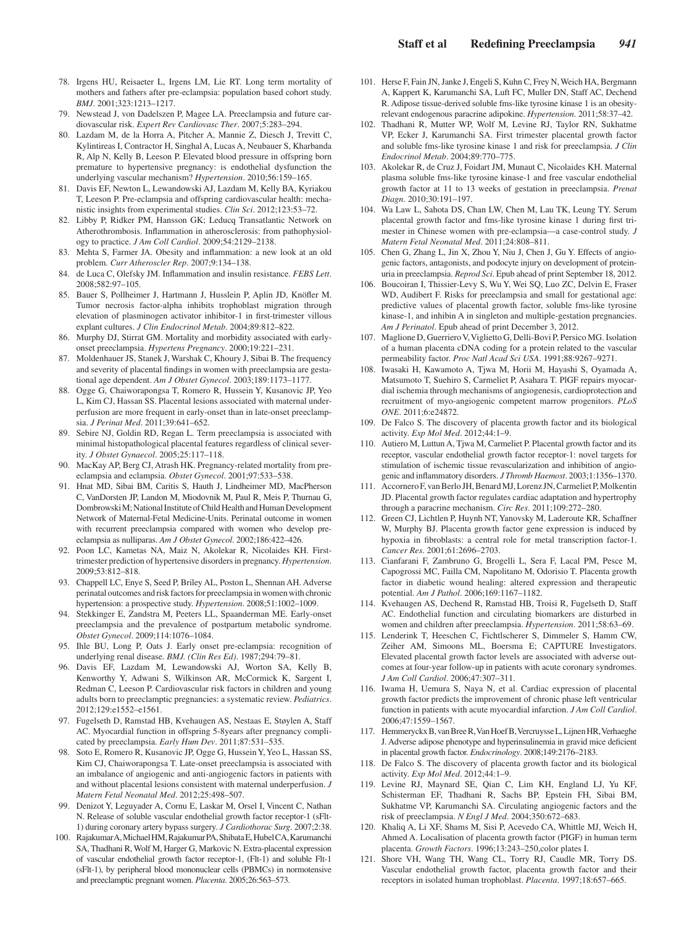- 78. Irgens HU, Reisaeter L, Irgens LM, Lie RT. Long term mortality of mothers and fathers after pre-eclampsia: population based cohort study. *BMJ*. 2001;323:1213–1217.
- 79. Newstead J, von Dadelszen P, Magee LA. Preeclampsia and future cardiovascular risk. *Expert Rev Cardiovasc Ther*. 2007;5:283–294.
- 80. Lazdam M, de la Horra A, Pitcher A, Mannie Z, Diesch J, Trevitt C, Kylintireas I, Contractor H, Singhal A, Lucas A, Neubauer S, Kharbanda R, Alp N, Kelly B, Leeson P. Elevated blood pressure in offspring born premature to hypertensive pregnancy: is endothelial dysfunction the underlying vascular mechanism? *Hypertension*. 2010;56:159–165.
- 81. Davis EF, Newton L, Lewandowski AJ, Lazdam M, Kelly BA, Kyriakou T, Leeson P. Pre-eclampsia and offspring cardiovascular health: mechanistic insights from experimental studies. *Clin Sci*. 2012;123:53–72.
- 82. Libby P, Ridker PM, Hansson GK; Leducq Transatlantic Network on Atherothrombosis. Inflammation in atherosclerosis: from pathophysiology to practice. *J Am Coll Cardiol*. 2009;54:2129–2138.
- 83. Mehta S, Farmer JA. Obesity and inflammation: a new look at an old problem. *Curr Atheroscler Rep*. 2007;9:134–138.
- 84. de Luca C, Olefsky JM. Inflammation and insulin resistance. *FEBS Lett*. 2008;582:97–105.
- 85. Bauer S, Pollheimer J, Hartmann J, Husslein P, Aplin JD, Knöfler M. Tumor necrosis factor-alpha inhibits trophoblast migration through elevation of plasminogen activator inhibitor-1 in first-trimester villous explant cultures. *J Clin Endocrinol Metab*. 2004;89:812–822.
- 86. Murphy DJ, Stirrat GM. Mortality and morbidity associated with earlyonset preeclampsia. *Hypertens Pregnancy*. 2000;19:221–231.
- 87. Moldenhauer JS, Stanek J, Warshak C, Khoury J, Sibai B. The frequency and severity of placental findings in women with preeclampsia are gestational age dependent. *Am J Obstet Gynecol*. 2003;189:1173–1177.
- 88. Ogge G, Chaiworapongsa T, Romero R, Hussein Y, Kusanovic JP, Yeo L, Kim CJ, Hassan SS. Placental lesions associated with maternal underperfusion are more frequent in early-onset than in late-onset preeclampsia. *J Perinat Med*. 2011;39:641–652.
- 89. Sebire NJ, Goldin RD, Regan L. Term preeclampsia is associated with minimal histopathological placental features regardless of clinical severity. *J Obstet Gynaecol*. 2005;25:117–118.
- 90. MacKay AP, Berg CJ, Atrash HK. Pregnancy-related mortality from preeclampsia and eclampsia. *Obstet Gynecol*. 2001;97:533–538.
- 91. Hnat MD, Sibai BM, Caritis S, Hauth J, Lindheimer MD, MacPherson C, VanDorsten JP, Landon M, Miodovnik M, Paul R, Meis P, Thurnau G, Dombrowski M; National Institute of Child Health and Human Development Network of Maternal-Fetal Medicine-Units. Perinatal outcome in women with recurrent preeclampsia compared with women who develop preeclampsia as nulliparas. *Am J Obstet Gynecol*. 2002;186:422–426.
- 92. Poon LC, Kametas NA, Maiz N, Akolekar R, Nicolaides KH. Firsttrimester prediction of hypertensive disorders in pregnancy. *Hypertension*. 2009;53:812–818.
- 93. Chappell LC, Enye S, Seed P, Briley AL, Poston L, Shennan AH. Adverse perinatal outcomes and risk factors for preeclampsia in women with chronic hypertension: a prospective study. *Hypertension*. 2008;51:1002–1009.
- 94. Stekkinger E, Zandstra M, Peeters LL, Spaanderman ME. Early-onset preeclampsia and the prevalence of postpartum metabolic syndrome. *Obstet Gynecol*. 2009;114:1076–1084.
- 95. Ihle BU, Long P, Oats J. Early onset pre-eclampsia: recognition of underlying renal disease. *BMJ. (Clin Res Ed)*. 1987;294:79–81.
- 96. Davis EF, Lazdam M, Lewandowski AJ, Worton SA, Kelly B, Kenworthy Y, Adwani S, Wilkinson AR, McCormick K, Sargent I, Redman C, Leeson P. Cardiovascular risk factors in children and young adults born to preeclamptic pregnancies: a systematic review. *Pediatrics*. 2012;129:e1552–e1561.
- 97. Fugelseth D, Ramstad HB, Kvehaugen AS, Nestaas E, Støylen A, Staff AC. Myocardial function in offspring 5-8years after pregnancy complicated by preeclampsia. *Early Hum Dev*. 2011;87:531–535.
- Soto E, Romero R, Kusanovic JP, Ogge G, Hussein Y, Yeo L, Hassan SS, Kim CJ, Chaiworapongsa T. Late-onset preeclampsia is associated with an imbalance of angiogenic and anti-angiogenic factors in patients with and without placental lesions consistent with maternal underperfusion. *J Matern Fetal Neonatal Med*. 2012;25:498–507.
- 99. Denizot Y, Leguyader A, Cornu E, Laskar M, Orsel I, Vincent C, Nathan N. Release of soluble vascular endothelial growth factor receptor-1 (sFlt-1) during coronary artery bypass surgery. *J Cardiothorac Surg*. 2007;2:38.
- 100. Rajakumar A, Michael HM, Rajakumar PA, Shibata E, Hubel CA, Karumanchi SA, Thadhani R, Wolf M, Harger G, Markovic N. Extra-placental expression of vascular endothelial growth factor receptor-1, (Flt-1) and soluble Flt-1 (sFlt-1), by peripheral blood mononuclear cells (PBMCs) in normotensive and preeclamptic pregnant women. *Placenta*. 2005;26:563–573.
- 101. Herse F, Fain JN, Janke J, Engeli S, Kuhn C, Frey N, Weich HA, Bergmann A, Kappert K, Karumanchi SA, Luft FC, Muller DN, Staff AC, Dechend R. Adipose tissue-derived soluble fms-like tyrosine kinase 1 is an obesityrelevant endogenous paracrine adipokine. *Hypertension*. 2011;58:37–42.
- 102. Thadhani R, Mutter WP, Wolf M, Levine RJ, Taylor RN, Sukhatme VP, Ecker J, Karumanchi SA. First trimester placental growth factor and soluble fms-like tyrosine kinase 1 and risk for preeclampsia. *J Clin Endocrinol Metab*. 2004;89:770–775.
- 103. Akolekar R, de Cruz J, Foidart JM, Munaut C, Nicolaides KH. Maternal plasma soluble fms-like tyrosine kinase-1 and free vascular endothelial growth factor at 11 to 13 weeks of gestation in preeclampsia. *Prenat Diagn*. 2010;30:191–197.
- 104. Wa Law L, Sahota DS, Chan LW, Chen M, Lau TK, Leung TY. Serum placental growth factor and fms-like tyrosine kinase 1 during first trimester in Chinese women with pre-eclampsia—a case-control study. *J Matern Fetal Neonatal Med*. 2011;24:808–811.
- 105. Chen G, Zhang L, Jin X, Zhou Y, Niu J, Chen J, Gu Y. Effects of angiogenic factors, antagonists, and podocyte injury on development of proteinuria in preeclampsia. *Reprod Sci*. Epub ahead of print September 18, 2012.
- 106. Boucoiran I, Thissier-Levy S, Wu Y, Wei SQ, Luo ZC, Delvin E, Fraser WD, Audibert F. Risks for preeclampsia and small for gestational age: predictive values of placental growth factor, soluble fms-like tyrosine kinase-1, and inhibin A in singleton and multiple-gestation pregnancies. *Am J Perinatol*. Epub ahead of print December 3, 2012.
- 107. Maglione D, Guerriero V, Viglietto G, Delli-Bovi P, Persico MG. Isolation of a human placenta cDNA coding for a protein related to the vascular permeability factor. *Proc Natl Acad Sci USA*. 1991;88:9267–9271.
- 108. Iwasaki H, Kawamoto A, Tjwa M, Horii M, Hayashi S, Oyamada A, Matsumoto T, Suehiro S, Carmeliet P, Asahara T. PlGF repairs myocardial ischemia through mechanisms of angiogenesis, cardioprotection and recruitment of myo-angiogenic competent marrow progenitors. *PLoS ONE*. 2011;6:e24872.
- 109. De Falco S. The discovery of placenta growth factor and its biological activity. *Exp Mol Med*. 2012;44:1–9.
- 110. Autiero M, Luttun A, Tjwa M, Carmeliet P. Placental growth factor and its receptor, vascular endothelial growth factor receptor-1: novel targets for stimulation of ischemic tissue revascularization and inhibition of angiogenic and inflammatory disorders. *J Thromb Haemost*. 2003;1:1356–1370.
- 111. Accornero F, van Berlo JH, Benard MJ, Lorenz JN, Carmeliet P, Molkentin JD. Placental growth factor regulates cardiac adaptation and hypertrophy through a paracrine mechanism. *Circ Res*. 2011;109:272–280.
- 112. Green CJ, Lichtlen P, Huynh NT, Yanovsky M, Laderoute KR, Schaffner W, Murphy BJ. Placenta growth factor gene expression is induced by hypoxia in fibroblasts: a central role for metal transcription factor-1. *Cancer Res*. 2001;61:2696–2703.
- 113. Cianfarani F, Zambruno G, Brogelli L, Sera F, Lacal PM, Pesce M, Capogrossi MC, Failla CM, Napolitano M, Odorisio T. Placenta growth factor in diabetic wound healing: altered expression and therapeutic potential. *Am J Pathol*. 2006;169:1167–1182.
- 114. Kvehaugen AS, Dechend R, Ramstad HB, Troisi R, Fugelseth D, Staff AC. Endothelial function and circulating biomarkers are disturbed in women and children after preeclampsia. *Hypertension*. 2011;58:63–69.
- 115. Lenderink T, Heeschen C, Fichtlscherer S, Dimmeler S, Hamm CW, Zeiher AM, Simoons ML, Boersma E; CAPTURE Investigators. Elevated placental growth factor levels are associated with adverse outcomes at four-year follow-up in patients with acute coronary syndromes. *J Am Coll Cardiol*. 2006;47:307–311.
- 116. Iwama H, Uemura S, Naya N, et al. Cardiac expression of placental growth factor predicts the improvement of chronic phase left ventricular function in patients with acute myocardial infarction. *J Am Coll Cardiol*. 2006;47:1559–1567.
- 117. Hemmeryckx B, van Bree R, Van Hoef B, Vercruysse L, Lijnen HR, Verhaeghe J. Adverse adipose phenotype and hyperinsulinemia in gravid mice deficient in placental growth factor. *Endocrinology*. 2008;149:2176–2183.
- 118. De Falco S. The discovery of placenta growth factor and its biological activity. *Exp Mol Med*. 2012;44:1–9.
- 119. Levine RJ, Maynard SE, Qian C, Lim KH, England LJ, Yu KF, Schisterman EF, Thadhani R, Sachs BP, Epstein FH, Sibai BM, Sukhatme VP, Karumanchi SA. Circulating angiogenic factors and the risk of preeclampsia. *N Engl J Med*. 2004;350:672–683.
- 120. Khaliq A, Li XF, Shams M, Sisi P, Acevedo CA, Whittle MJ, Weich H, Ahmed A. Localisation of placenta growth factor (PIGF) in human term placenta. *Growth Factors*. 1996;13:243–250,color plates I.
- 121. Shore VH, Wang TH, Wang CL, Torry RJ, Caudle MR, Torry DS. Vascular endothelial growth factor, placenta growth factor and their receptors in isolated human trophoblast. *Placenta*. 1997;18:657–665.